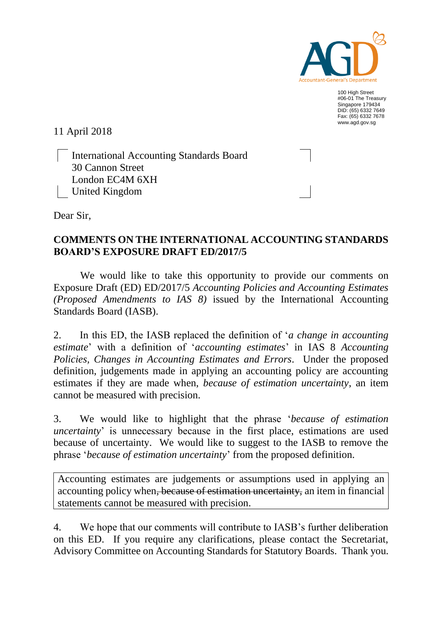

100 High Street #06-01 The Treasury Singapore 179434 DID: (65) 6332 7649 Fax: (65) 6332 7678 www.agd.gov.sg

11 April 2018

International Accounting Standards Board 30 Cannon Street London EC4M 6XH United Kingdom

Dear Sir,

## **COMMENTS ON THE INTERNATIONAL ACCOUNTING STANDARDS BOARD'S EXPOSURE DRAFT ED/2017/5**

We would like to take this opportunity to provide our comments on Exposure Draft (ED) ED/2017/5 *Accounting Policies and Accounting Estimates (Proposed Amendments to IAS 8)* issued by the International Accounting Standards Board (IASB).

2. In this ED, the IASB replaced the definition of '*a change in accounting estimate*' with a definition of '*accounting estimates*' in IAS 8 *Accounting Policies, Changes in Accounting Estimates and Errors*. Under the proposed definition, judgements made in applying an accounting policy are accounting estimates if they are made when, *because of estimation uncertainty*, an item cannot be measured with precision.

3. We would like to highlight that the phrase '*because of estimation uncertainty*' is unnecessary because in the first place, estimations are used because of uncertainty. We would like to suggest to the IASB to remove the phrase '*because of estimation uncertainty*' from the proposed definition.

Accounting estimates are judgements or assumptions used in applying an accounting policy when, because of estimation uncertainty, an item in financial statements cannot be measured with precision.

4. We hope that our comments will contribute to IASB's further deliberation on this ED. If you require any clarifications, please contact the Secretariat, Advisory Committee on Accounting Standards for Statutory Boards. Thank you.